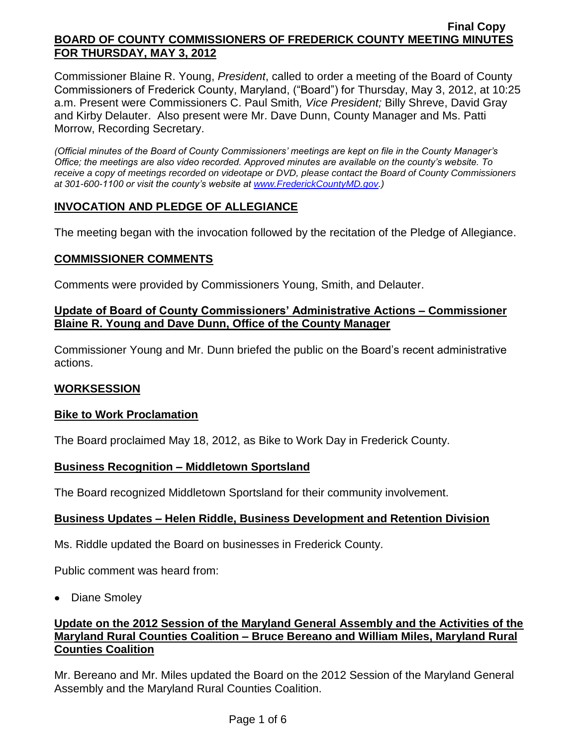Commissioner Blaine R. Young, *President*, called to order a meeting of the Board of County Commissioners of Frederick County, Maryland, ("Board") for Thursday, May 3, 2012, at 10:25 a.m. Present were Commissioners C. Paul Smith*, Vice President;* Billy Shreve, David Gray and Kirby Delauter. Also present were Mr. Dave Dunn, County Manager and Ms. Patti Morrow, Recording Secretary.

*(Official minutes of the Board of County Commissioners' meetings are kept on file in the County Manager's Office; the meetings are also video recorded. Approved minutes are available on the county's website. To receive a copy of meetings recorded on videotape or DVD, please contact the Board of County Commissioners at 301-600-1100 or visit the county's website at [www.FrederickCountyMD.gov.](http://www.frederickcountymd.gov/))*

# **INVOCATION AND PLEDGE OF ALLEGIANCE**

The meeting began with the invocation followed by the recitation of the Pledge of Allegiance.

# **COMMISSIONER COMMENTS**

Comments were provided by Commissioners Young, Smith, and Delauter.

# **Update of Board of County Commissioners' Administrative Actions – Commissioner Blaine R. Young and Dave Dunn, Office of the County Manager**

Commissioner Young and Mr. Dunn briefed the public on the Board's recent administrative actions.

## **WORKSESSION**

## **Bike to Work Proclamation**

The Board proclaimed May 18, 2012, as Bike to Work Day in Frederick County.

## **Business Recognition – Middletown Sportsland**

The Board recognized Middletown Sportsland for their community involvement.

## **Business Updates – Helen Riddle, Business Development and Retention Division**

Ms. Riddle updated the Board on businesses in Frederick County.

Public comment was heard from:

• Diane Smoley

# **Update on the 2012 Session of the Maryland General Assembly and the Activities of the Maryland Rural Counties Coalition – Bruce Bereano and William Miles, Maryland Rural Counties Coalition**

Mr. Bereano and Mr. Miles updated the Board on the 2012 Session of the Maryland General Assembly and the Maryland Rural Counties Coalition.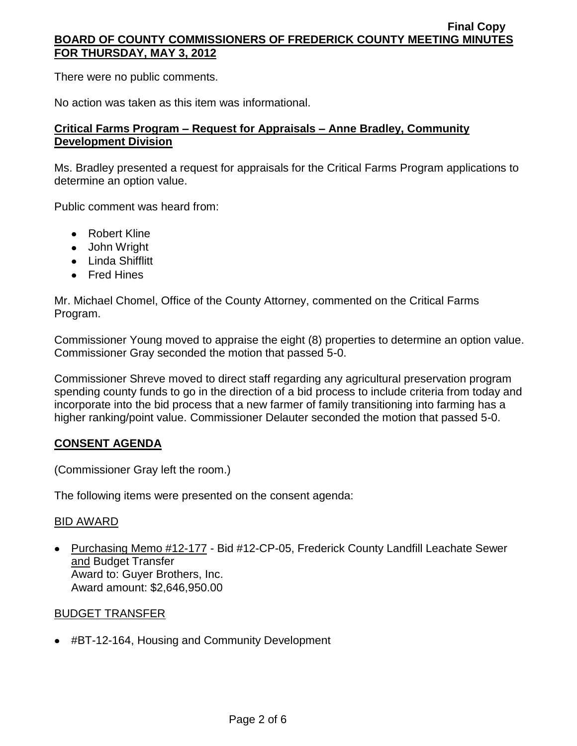There were no public comments.

No action was taken as this item was informational.

### **Critical Farms Program – Request for Appraisals – Anne Bradley, Community Development Division**

Ms. Bradley presented a request for appraisals for the Critical Farms Program applications to determine an option value.

Public comment was heard from:

- Robert Kline
- John Wright
- Linda Shifflitt
- Fred Hines

Mr. Michael Chomel, Office of the County Attorney, commented on the Critical Farms Program.

Commissioner Young moved to appraise the eight (8) properties to determine an option value. Commissioner Gray seconded the motion that passed 5-0.

Commissioner Shreve moved to direct staff regarding any agricultural preservation program spending county funds to go in the direction of a bid process to include criteria from today and incorporate into the bid process that a new farmer of family transitioning into farming has a higher ranking/point value. Commissioner Delauter seconded the motion that passed 5-0.

## **CONSENT AGENDA**

(Commissioner Gray left the room.)

The following items were presented on the consent agenda:

#### BID AWARD

• Purchasing Memo #12-177 - Bid #12-CP-05, Frederick County Landfill Leachate Sewer and Budget Transfer Award to: Guyer Brothers, Inc. Award amount: \$2,646,950.00

## BUDGET TRANSFER

#BT-12-164, Housing and Community Development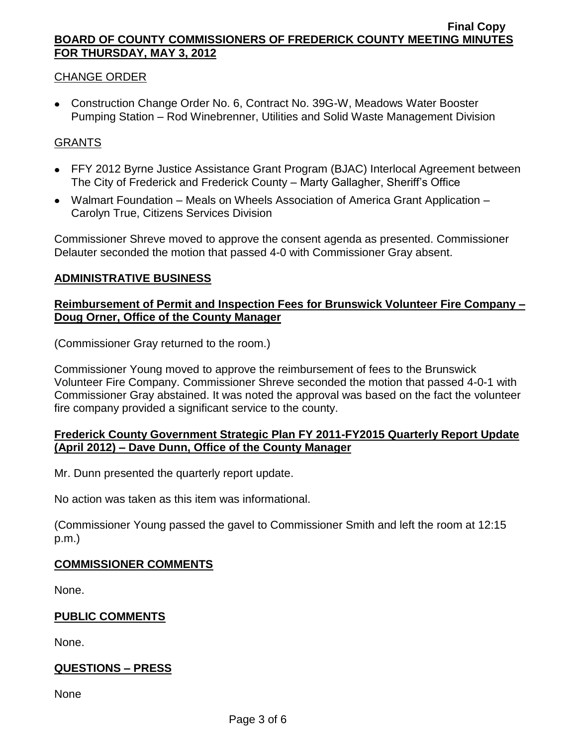### CHANGE ORDER

Construction Change Order No. 6, Contract No. 39G-W, Meadows Water Booster Pumping Station – Rod Winebrenner, Utilities and Solid Waste Management Division

### GRANTS

- FFY 2012 Byrne Justice Assistance Grant Program (BJAC) Interlocal Agreement between The City of Frederick and Frederick County – Marty Gallagher, Sheriff's Office
- Walmart Foundation Meals on Wheels Association of America Grant Application Carolyn True, Citizens Services Division

Commissioner Shreve moved to approve the consent agenda as presented. Commissioner Delauter seconded the motion that passed 4-0 with Commissioner Gray absent.

#### **ADMINISTRATIVE BUSINESS**

## **Reimbursement of Permit and Inspection Fees for Brunswick Volunteer Fire Company – Doug Orner, Office of the County Manager**

(Commissioner Gray returned to the room.)

Commissioner Young moved to approve the reimbursement of fees to the Brunswick Volunteer Fire Company. Commissioner Shreve seconded the motion that passed 4-0-1 with Commissioner Gray abstained. It was noted the approval was based on the fact the volunteer fire company provided a significant service to the county.

## **Frederick County Government Strategic Plan FY 2011-FY2015 Quarterly Report Update (April 2012) – Dave Dunn, Office of the County Manager**

Mr. Dunn presented the quarterly report update.

No action was taken as this item was informational.

(Commissioner Young passed the gavel to Commissioner Smith and left the room at 12:15 p.m.)

#### **COMMISSIONER COMMENTS**

None.

#### **PUBLIC COMMENTS**

None.

## **QUESTIONS – PRESS**

None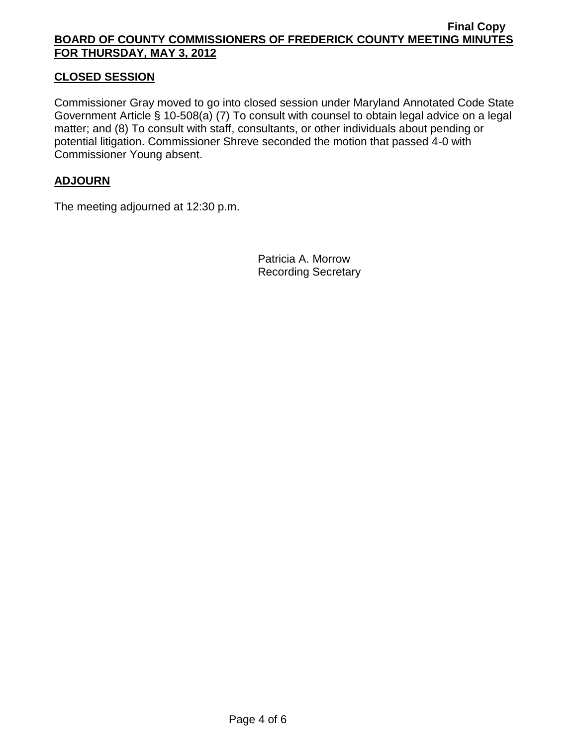# **CLOSED SESSION**

Commissioner Gray moved to go into closed session under Maryland Annotated Code State Government Article § 10-508(a) (7) To consult with counsel to obtain legal advice on a legal matter; and (8) To consult with staff, consultants, or other individuals about pending or potential litigation. Commissioner Shreve seconded the motion that passed 4-0 with Commissioner Young absent.

# **ADJOURN**

The meeting adjourned at 12:30 p.m.

Patricia A. Morrow Recording Secretary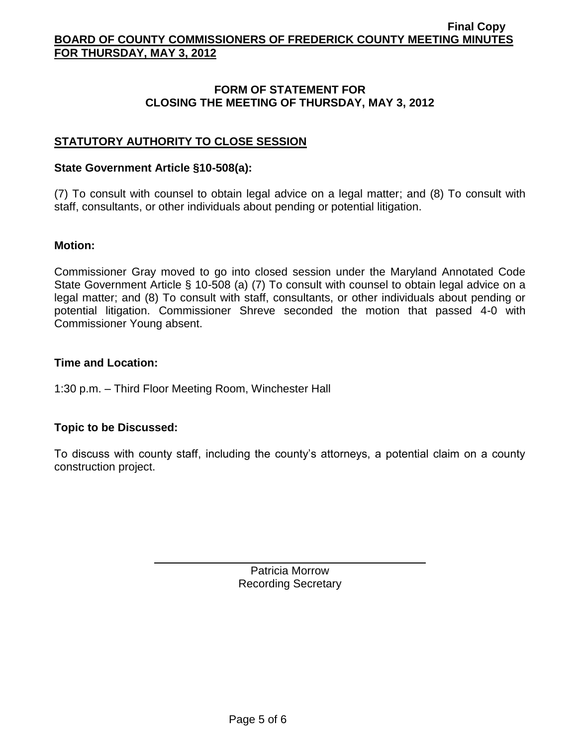## **FORM OF STATEMENT FOR CLOSING THE MEETING OF THURSDAY, MAY 3, 2012**

# **STATUTORY AUTHORITY TO CLOSE SESSION**

#### **State Government Article §10-508(a):**

(7) To consult with counsel to obtain legal advice on a legal matter; and (8) To consult with staff, consultants, or other individuals about pending or potential litigation.

#### **Motion:**

Commissioner Gray moved to go into closed session under the Maryland Annotated Code State Government Article § 10-508 (a) (7) To consult with counsel to obtain legal advice on a legal matter; and (8) To consult with staff, consultants, or other individuals about pending or potential litigation. Commissioner Shreve seconded the motion that passed 4-0 with Commissioner Young absent.

### **Time and Location:**

1:30 p.m. – Third Floor Meeting Room, Winchester Hall

## **Topic to be Discussed:**

To discuss with county staff, including the county's attorneys, a potential claim on a county construction project.

> Patricia Morrow Recording Secretary